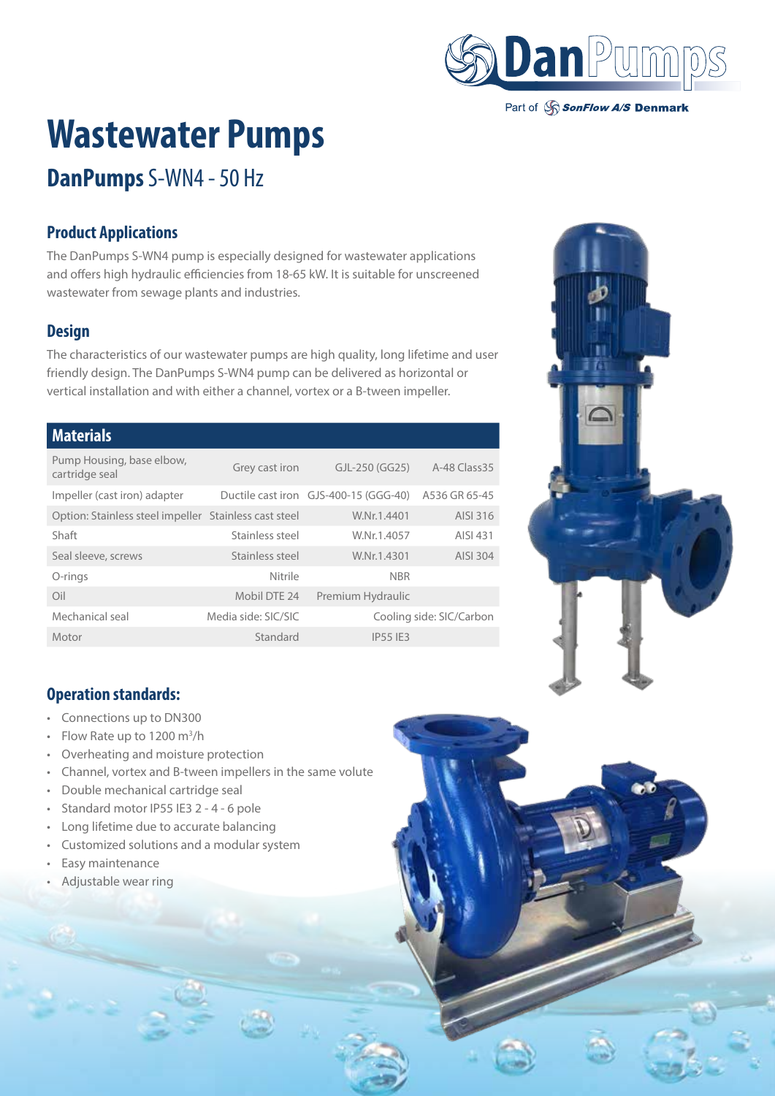

Part of SonFlow A/S Denmark

# **Wastewater Pumps**

## **DanPumps** S-WN4 - 50 Hz

### **Product Applications**

The DanPumps S-WN4 pump is especially designed for wastewater applications and offers high hydraulic efficiencies from 18-65 kW. It is suitable for unscreened wastewater from sewage plants and industries.

### **Design**

The characteristics of our wastewater pumps are high quality, long lifetime and user friendly design. The DanPumps S-WN4 pump can be delivered as horizontal or vertical installation and with either a channel, vortex or a B-tween impeller.

#### **Materials**

| Pump Housing, base elbow,<br>cartridge seal           | Grey cast iron      | GJL-250 (GG25)                        | A-48 Class 35            |
|-------------------------------------------------------|---------------------|---------------------------------------|--------------------------|
| Impeller (cast iron) adapter                          |                     | Ductile cast iron GJS-400-15 (GGG-40) | A536 GR 65-45            |
| Option: Stainless steel impeller Stainless cast steel |                     | W.Nr.1.4401                           | AISI 316                 |
| Shaft                                                 | Stainless steel     | W.Nr.1.4057                           | AISI 431                 |
| Seal sleeve, screws                                   | Stainless steel     | W.Nr.1.4301                           | AISI 304                 |
| O-rings                                               | Nitrile             | <b>NBR</b>                            |                          |
| Oil                                                   | Mobil DTE 24        | Premium Hydraulic                     |                          |
| Mechanical seal                                       | Media side: SIC/SIC |                                       | Cooling side: SIC/Carbon |
| Motor                                                 | Standard            | <b>IP55 IF3</b>                       |                          |



### **Operation standards:**

- Connections up to DN300
- Flow Rate up to 1200  $\text{m}^3/\text{h}$
- Overheating and moisture protection
- Channel, vortex and B-tween impellers in the same volute
- Double mechanical cartridge seal
- Standard motor IP55 IE3 2 4 6 pole
- Long lifetime due to accurate balancing
- Customized solutions and a modular system
- Easy maintenance
- Adjustable wear ring